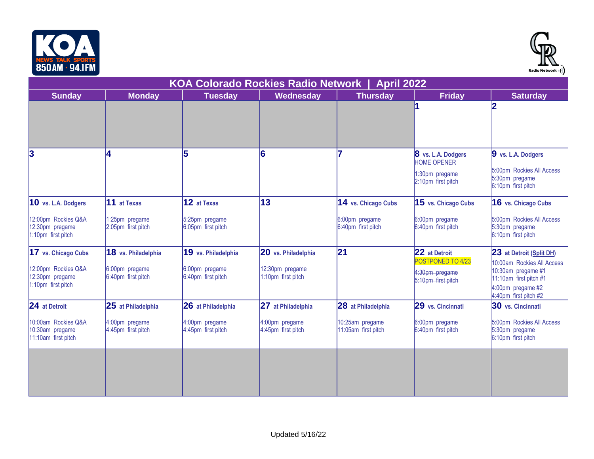



| וזו והדט וווח טטט                                              |                                      |                                      |                                       |                                        |                                                                                  | Radio Network =) )                                                                                                       |  |  |
|----------------------------------------------------------------|--------------------------------------|--------------------------------------|---------------------------------------|----------------------------------------|----------------------------------------------------------------------------------|--------------------------------------------------------------------------------------------------------------------------|--|--|
| <b>KOA Colorado Rockies Radio Network</b><br><b>April 2022</b> |                                      |                                      |                                       |                                        |                                                                                  |                                                                                                                          |  |  |
| <b>Sunday</b>                                                  | <b>Monday</b>                        | <b>Tuesday</b>                       | <b>Wednesday</b>                      | <b>Thursday</b>                        | <b>Friday</b>                                                                    | <b>Saturday</b>                                                                                                          |  |  |
|                                                                |                                      |                                      |                                       |                                        |                                                                                  | 12                                                                                                                       |  |  |
| 3                                                              | l4.                                  | 5                                    | 16                                    |                                        | 8 vs. L.A. Dodgers<br><b>HOME OPENER</b><br>1:30pm pregame<br>2:10pm first pitch | 9 vs. L.A. Dodgers<br>5:00pm Rockies All Access<br>5:30pm pregame<br>6:10pm first pitch                                  |  |  |
| 10 vs. L.A. Dodgers                                            | 11 at Texas                          | 12 at Texas                          | 13                                    | 14 vs. Chicago Cubs                    | 15 vs. Chicago Cubs                                                              | 16 vs. Chicago Cubs                                                                                                      |  |  |
| 12:00pm Rockies Q&A<br>12:30pm pregame<br>1:10pm first pitch   | 1:25pm pregame<br>2:05pm first pitch | 5:25pm pregame<br>6:05pm first pitch |                                       | 6:00pm pregame<br>6:40pm first pitch   | 6:00pm pregame<br>6:40pm first pitch                                             | 5:00pm Rockies All Access<br>5:30pm pregame<br>6:10pm first pitch                                                        |  |  |
| 17 vs. Chicago Cubs                                            | 18 vs. Philadelphia                  | 19 vs. Philadelphia                  | 20 vs. Philadelphia                   | 21                                     | 22 at Detroit<br>POSTPONED TO 4/23                                               | 23 at Detroit (Split DH)                                                                                                 |  |  |
| 12:00pm Rockies Q&A<br>12:30pm pregame<br>1:10pm first pitch   | 6:00pm pregame<br>6:40pm first pitch | 6:00pm pregame<br>6:40pm first pitch | 12:30pm pregame<br>1:10pm first pitch |                                        | 4:30pm pregame<br>5:10pm first pitch                                             | 10:00am Rockies All Access<br>10:30am pregame #1<br>11:10am first pitch #1<br>4:00pm pregame #2<br>4:40pm first pitch #2 |  |  |
| 24 at Detroit                                                  | 25 at Philadelphia                   | 26 at Philadelphia                   | 27 at Philadelphia                    | 28 at Philadelphia                     | 29 vs. Cincinnati                                                                | 30 vs. Cincinnati                                                                                                        |  |  |
| 10:00am Rockies Q&A<br>10:30am pregame<br>11:10am first pitch  | 4:00pm pregame<br>4:45pm first pitch | 4:00pm pregame<br>4:45pm first pitch | 4:00pm pregame<br>4:45pm first pitch  | 10:25am pregame<br>11:05am first pitch | 6:00pm pregame<br>6:40pm first pitch                                             | 5:00pm Rockies All Access<br>5:30pm pregame<br>6:10pm first pitch                                                        |  |  |
|                                                                |                                      |                                      |                                       |                                        |                                                                                  |                                                                                                                          |  |  |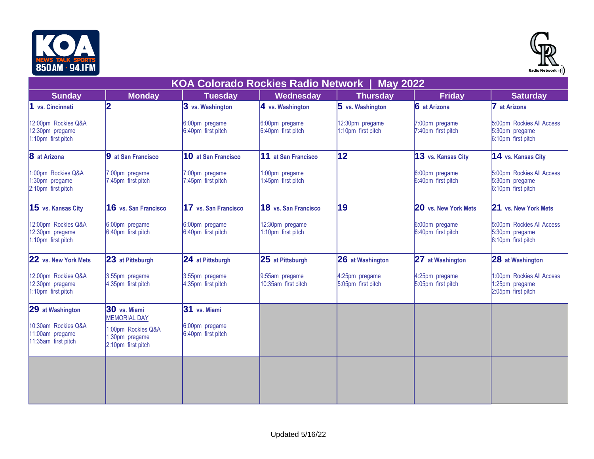



| ווו והדט וווח טטט                                             |                                                            |                                      |                                           |                                       |                                      | Radio Network •) )                                                |
|---------------------------------------------------------------|------------------------------------------------------------|--------------------------------------|-------------------------------------------|---------------------------------------|--------------------------------------|-------------------------------------------------------------------|
|                                                               |                                                            |                                      | <b>KOA Colorado Rockies Radio Network</b> | <b>May 2022</b>                       |                                      |                                                                   |
| <b>Sunday</b>                                                 | <b>Monday</b>                                              | <b>Tuesday</b>                       | Wednesday                                 | <b>Thursday</b>                       | <b>Friday</b>                        | <b>Saturday</b>                                                   |
| 1 vs. Cincinnati                                              | 12                                                         | 3 vs. Washington                     | 4 vs. Washington                          | $5$ vs. Washington                    | 6 at Arizona                         | at Arizona                                                        |
| 12:00pm Rockies Q&A<br>12:30pm pregame<br>1:10pm first pitch  |                                                            | 6:00pm pregame<br>6:40pm first pitch | 6:00pm pregame<br>6:40pm first pitch      | 12:30pm pregame<br>1:10pm first pitch | 7:00pm pregame<br>7:40pm first pitch | 5:00pm Rockies All Access<br>5:30pm pregame<br>6:10pm first pitch |
| 8 at Arizona                                                  | 9 at San Francisco                                         | 10 at San Francisco                  | 11 at San Francisco                       | $ 12\rangle$                          | 13 vs. Kansas City                   | 14 vs. Kansas City                                                |
| 1:00pm Rockies Q&A<br>1:30pm pregame<br>2:10pm first pitch    | 7:00pm pregame<br>7:45pm first pitch                       | 7:00pm pregame<br>7:45pm first pitch | 1:00pm pregame<br>1:45pm first pitch      |                                       | 6:00pm pregame<br>6:40pm first pitch | 5:00pm Rockies All Access<br>5:30pm pregame<br>6:10pm first pitch |
| 15 vs. Kansas City                                            | 16 vs. San Francisco                                       | 17 vs. San Francisco                 | 18 vs. San Francisco                      | 19                                    | 20 vs. New York Mets                 | 21 vs. New York Mets                                              |
| 12:00pm Rockies Q&A<br>12:30pm pregame<br>1:10pm first pitch  | 6:00pm pregame<br>6:40pm first pitch                       | 6:00pm pregame<br>6:40pm first pitch | 12:30pm pregame<br>1:10pm first pitch     |                                       | 6:00pm pregame<br>6:40pm first pitch | 5:00pm Rockies All Access<br>5:30pm pregame<br>6:10pm first pitch |
| 22 vs. New York Mets                                          | 23 at Pittsburgh                                           | 24 at Pittsburgh                     | 25 at Pittsburgh                          | <b>26</b> at Washington               | 27 at Washington                     | 28 at Washington                                                  |
| 12:00pm Rockies Q&A<br>12:30pm pregame<br>1:10pm first pitch  | 3:55pm pregame<br>4:35pm first pitch                       | 3:55pm pregame<br>4:35pm first pitch | 9:55am pregame<br>10:35am first pitch     | 4:25pm pregame<br>5:05pm first pitch  | 4:25pm pregame<br>5:05pm first pitch | 1:00pm Rockies All Access<br>1:25pm pregame<br>2:05pm first pitch |
| 29 at Washington                                              | 30 vs. Miami<br><b>MEMORIAL DAY</b>                        | 31 vs. Miami                         |                                           |                                       |                                      |                                                                   |
| 10:30am Rockies Q&A<br>11:00am pregame<br>11:35am first pitch | 1:00pm Rockies Q&A<br>1:30pm pregame<br>2:10pm first pitch | 6:00pm pregame<br>6:40pm first pitch |                                           |                                       |                                      |                                                                   |
|                                                               |                                                            |                                      |                                           |                                       |                                      |                                                                   |
|                                                               |                                                            |                                      |                                           |                                       |                                      |                                                                   |
|                                                               |                                                            |                                      |                                           |                                       |                                      |                                                                   |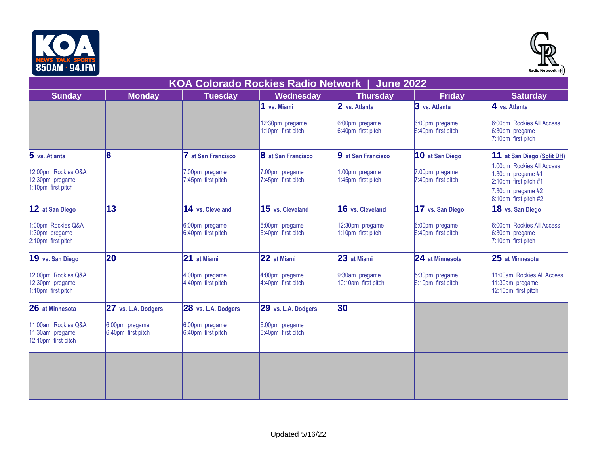



| <b>Sunday</b>                                                 | <b>Monday</b>                        | <b>Tuesday</b>                       | <b>Wednesday</b>                      | <b>Thursday</b>                       | <b>Friday</b>                        | <b>Saturday</b>                                                                              |
|---------------------------------------------------------------|--------------------------------------|--------------------------------------|---------------------------------------|---------------------------------------|--------------------------------------|----------------------------------------------------------------------------------------------|
|                                                               |                                      |                                      | 1 vs. Miami                           | 2 vs. Atlanta                         | 3 vs. Atlanta                        | 4 vs. Atlanta                                                                                |
|                                                               |                                      |                                      | 12:30pm pregame<br>1:10pm first pitch | 6:00pm pregame<br>6:40pm first pitch  | 6:00pm pregame<br>6:40pm first pitch | 6:00pm Rockies All Access<br>6:30pm pregame<br>7:10pm first pitch                            |
| 5 vs. Atlanta                                                 | 6                                    | 7 at San Francisco                   | 8 at San Francisco                    | 9 at San Francisco                    | 10 at San Diego                      | 11 at San Diego (Split DH)                                                                   |
| 12:00pm Rockies Q&A<br>12:30pm pregame<br>1:10pm first pitch  |                                      | 7:00pm pregame<br>7:45pm first pitch | 7:00pm pregame<br>7:45pm first pitch  | 1:00pm pregame<br>1:45pm first pitch  | 7:00pm pregame<br>7:40pm first pitch | 1:00pm Rockies All Access<br>1:30pm pregame #1<br>2:10pm first pitch #1<br>7:30pm pregame #2 |
|                                                               |                                      |                                      |                                       |                                       |                                      | 8:10pm first pitch #2                                                                        |
| 12 at San Diego                                               | 13                                   | 14 vs. Cleveland                     | 15 vs. Cleveland                      | 16 vs. Cleveland                      | 17 vs. San Diego                     | 18 vs. San Diego                                                                             |
| 1:00pm Rockies Q&A<br>:30pm pregame<br>2:10pm first pitch     |                                      | 6:00pm pregame<br>6:40pm first pitch | 6:00pm pregame<br>6:40pm first pitch  | 12:30pm pregame<br>1:10pm first pitch | 6:00pm pregame<br>6:40pm first pitch | 6:00pm Rockies All Access<br>6:30pm pregame<br>7:10pm first pitch                            |
| 19 vs. San Diego                                              | 20                                   | 21 at Miami                          | 22 at Miami                           | 23 at Miami                           | 24 at Minnesota                      | 25 at Minnesota                                                                              |
| 12:00pm Rockies Q&A<br>12:30pm pregame<br>1:10pm first pitch  |                                      | 4:00pm pregame<br>4:40pm first pitch | 4:00pm pregame<br>4:40pm first pitch  | 9:30am pregame<br>10:10am first pitch | 5:30pm pregame<br>6:10pm first pitch | 11:00am Rockies All Access<br>11:30am pregame<br>12:10pm first pitch                         |
| 26 at Minnesota                                               | 27 vs. L.A. Dodgers                  | 28 vs. L.A. Dodgers                  | 29 vs. L.A. Dodgers                   | $ 30\rangle$                          |                                      |                                                                                              |
| 11:00am Rockies Q&A<br>11:30am pregame<br>12:10pm first pitch | 6:00pm pregame<br>6:40pm first pitch | 6:00pm pregame<br>6:40pm first pitch | 6:00pm pregame<br>6:40pm first pitch  |                                       |                                      |                                                                                              |
|                                                               |                                      |                                      |                                       |                                       |                                      |                                                                                              |
|                                                               |                                      |                                      |                                       |                                       |                                      |                                                                                              |
|                                                               |                                      |                                      |                                       |                                       |                                      |                                                                                              |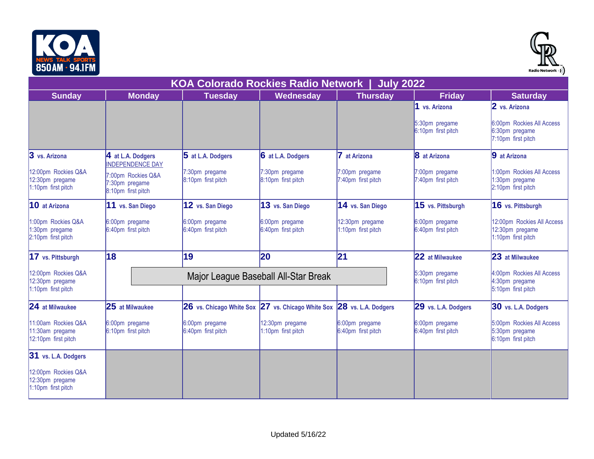



| ווו והדט וווח טטט                                             |                                                            |                                           |                                                                       |                                             |                                      | Radio Network •) )                                                  |
|---------------------------------------------------------------|------------------------------------------------------------|-------------------------------------------|-----------------------------------------------------------------------|---------------------------------------------|--------------------------------------|---------------------------------------------------------------------|
|                                                               |                                                            | <b>KOA Colorado Rockies Radio Network</b> |                                                                       | <b>July 2022</b>                            |                                      |                                                                     |
| <b>Sunday</b>                                                 | <b>Monday</b>                                              | <b>Tuesday</b>                            | Wednesday                                                             | <b>Thursday</b>                             | <b>Friday</b>                        | <b>Saturday</b>                                                     |
|                                                               |                                                            |                                           |                                                                       |                                             | 1 vs. Arizona                        | 2 vs. Arizona                                                       |
|                                                               |                                                            |                                           |                                                                       |                                             | 5:30pm pregame<br>6:10pm first pitch | 6:00pm Rockies All Access<br>6:30pm pregame<br>7:10pm first pitch   |
| 3 vs. Arizona                                                 | 4 at L.A. Dodgers<br><b>INDEPENDENCE DAY</b>               | 5 at L.A. Dodgers                         | 6 at L.A. Dodgers                                                     | 7 at Arizona                                | 8 at Arizona                         | 9 at Arizona                                                        |
| 12:00pm Rockies Q&A<br>12:30pm pregame<br>1:10pm first pitch  | 7:00pm Rockies Q&A<br>7:30pm pregame<br>8:10pm first pitch | 7:30pm pregame<br>8:10pm first pitch      | 7:30pm pregame<br>8:10pm first pitch                                  | 7:00pm pregame<br>7:40pm first pitch        | 7:00pm pregame<br>7:40pm first pitch | 1:00pm Rockies All Access<br>1:30pm pregame<br>2:10pm first pitch   |
| 10 at Arizona                                                 | 11 vs. San Diego                                           | 12 vs. San Diego                          | 13 vs. San Diego                                                      | 14 vs. San Diego                            | 15 vs. Pittsburgh                    | 16 vs. Pittsburgh                                                   |
| 1:00pm Rockies Q&A<br>1:30pm pregame<br>2:10pm first pitch    | 6:00pm pregame<br>6:40pm first pitch                       | 6:00pm pregame<br>6:40pm first pitch      | 6:00pm pregame<br>6:40pm first pitch                                  | 12:30pm pregame<br>1:10pm first pitch       | 6:00pm pregame<br>6:40pm first pitch | 12:00pm Rockies All Access<br>12:30pm pregame<br>1:10pm first pitch |
| 17 vs. Pittsburgh                                             | 18                                                         | 19                                        | 20                                                                    | 21                                          | 22 at Milwaukee                      | 23 at Milwaukee                                                     |
| 12:00pm Rockies Q&A<br>12:30pm pregame                        |                                                            | Major League Baseball All-Star Break      | 5:30pm pregame<br>6:10pm first pitch                                  | 4:00pm Rockies All Access<br>4:30pm pregame |                                      |                                                                     |
| 1:10pm first pitch                                            |                                                            |                                           |                                                                       |                                             |                                      | 5:10pm first pitch                                                  |
| 24 at Milwaukee                                               | 25 at Milwaukee                                            |                                           | 26 vs. Chicago White Sox 27 vs. Chicago White Sox 28 vs. L.A. Dodgers |                                             | 29 vs. L.A. Dodgers                  | 30 vs. L.A. Dodgers                                                 |
| 11:00am Rockies Q&A<br>11:30am pregame<br>12:10pm first pitch | 6:00pm pregame<br>6:10pm first pitch                       | 6:00pm pregame<br>6:40pm first pitch      | 12:30pm pregame<br>1:10pm first pitch                                 | 6:00pm pregame<br>6:40pm first pitch        | 6:00pm pregame<br>6:40pm first pitch | 5:00pm Rockies All Access<br>5:30pm pregame<br>6:10pm first pitch   |
| 31 vs. L.A. Dodgers                                           |                                                            |                                           |                                                                       |                                             |                                      |                                                                     |
| 12:00pm Rockies Q&A<br>12:30pm pregame<br>1:10pm first pitch  |                                                            |                                           |                                                                       |                                             |                                      |                                                                     |
|                                                               |                                                            |                                           |                                                                       |                                             |                                      |                                                                     |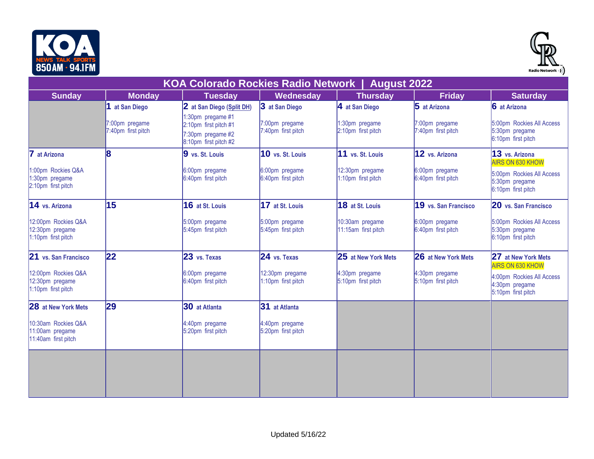



|                                                               |                                      | <b>KOA Colorado Rockies Radio Network  </b>                                              |                                       | <b>August 2022</b>                     |                                      |                                                                                              |
|---------------------------------------------------------------|--------------------------------------|------------------------------------------------------------------------------------------|---------------------------------------|----------------------------------------|--------------------------------------|----------------------------------------------------------------------------------------------|
| <b>Sunday</b>                                                 | <b>Monday</b>                        | <b>Tuesday</b>                                                                           | Wednesday                             | <b>Thursday</b>                        | <b>Friday</b>                        | <b>Saturday</b>                                                                              |
|                                                               | 1 at San Diego                       | 2 at San Diego (Split DH)                                                                | 3 at San Diego                        | 4 at San Diego                         | 5 at Arizona                         | 6 at Arizona                                                                                 |
|                                                               | 7:00pm pregame<br>7:40pm first pitch | 1:30pm pregame #1<br>2:10pm first pitch #1<br>7:30pm pregame #2<br>8:10pm first pitch #2 | 7:00pm pregame<br>7:40pm first pitch  | 1:30pm pregame<br>2:10pm first pitch   | 7:00pm pregame<br>7:40pm first pitch | 5:00pm Rockies All Access<br>5:30pm pregame<br>6:10pm first pitch                            |
| 7<br>at Arizona                                               | 8                                    | 9 vs. St. Louis                                                                          | 10 vs. St. Louis                      | 11 vs. St. Louis                       | 12 vs. Arizona                       | 13 vs. Arizona                                                                               |
| 1:00pm Rockies Q&A<br>:30pm pregame<br>2:10pm first pitch     |                                      | 6:00pm pregame<br>6:40pm first pitch                                                     | 6:00pm pregame<br>6:40pm first pitch  | 12:30pm pregame<br>1:10pm first pitch  | 6:00pm pregame<br>6:40pm first pitch | <b>AIRS ON 630 KHOW</b><br>5:00pm Rockies All Access<br>5:30pm pregame<br>6:10pm first pitch |
| 14 vs. Arizona                                                | 15                                   | 16 at St. Louis                                                                          | 17 at St. Louis                       | 18 at St. Louis                        | 19 vs. San Francisco                 | 20 vs. San Francisco                                                                         |
| 12:00pm Rockies Q&A<br>12:30pm pregame<br>1:10pm first pitch  |                                      | 5:00pm pregame<br>5:45pm first pitch                                                     | 5:00pm pregame<br>5:45pm first pitch  | 10:30am pregame<br>11:15am first pitch | 6:00pm pregame<br>6:40pm first pitch | 5:00pm Rockies All Access<br>5:30pm pregame<br>6:10pm first pitch                            |
| 21 vs. San Francisco                                          | 22                                   | 23 vs. Texas                                                                             | 24 vs. Texas                          | 25 at New York Mets                    | 26 at New York Mets                  | 27 at New York Mets<br><b>AIRS ON 630 KHOW</b>                                               |
| 12:00pm Rockies Q&A<br>12:30pm pregame<br>1:10pm first pitch  |                                      | 6:00pm pregame<br>6:40pm first pitch                                                     | 12:30pm pregame<br>1:10pm first pitch | 4:30pm pregame<br>5:10pm first pitch   | 4:30pm pregame<br>5:10pm first pitch | 4:00pm Rockies All Access<br>4:30pm pregame<br>5:10pm first pitch                            |
| <b>28</b> at New York Mets                                    | 29                                   | 30 at Atlanta                                                                            | 31 at Atlanta                         |                                        |                                      |                                                                                              |
| 10:30am Rockies Q&A<br>11:00am pregame<br>11:40am first pitch |                                      | 4:40pm pregame<br>5:20pm first pitch                                                     | 4:40pm pregame<br>5:20pm first pitch  |                                        |                                      |                                                                                              |
|                                                               |                                      |                                                                                          |                                       |                                        |                                      |                                                                                              |
|                                                               |                                      |                                                                                          |                                       |                                        |                                      |                                                                                              |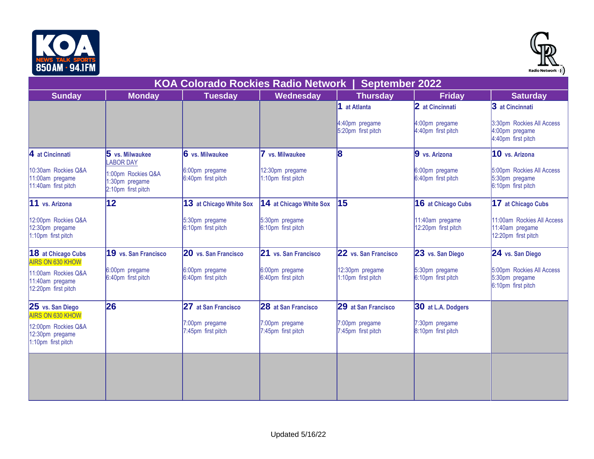



| ווו והדט וווח טטט                                             |                                                            |                                           |                                       |                                       |                                        | Radio Network •) )                                                   |
|---------------------------------------------------------------|------------------------------------------------------------|-------------------------------------------|---------------------------------------|---------------------------------------|----------------------------------------|----------------------------------------------------------------------|
|                                                               |                                                            | <b>KOA Colorado Rockies Radio Network</b> |                                       | <b>September 2022</b>                 |                                        |                                                                      |
| <b>Sunday</b>                                                 | <b>Monday</b>                                              | <b>Tuesday</b>                            | Wednesday                             | <b>Thursday</b>                       | <b>Friday</b>                          | <b>Saturday</b>                                                      |
|                                                               |                                                            |                                           |                                       | 1 at Atlanta                          | 2 at Cincinnati                        | 3 at Cincinnati                                                      |
|                                                               |                                                            |                                           |                                       | 4:40pm pregame<br>5:20pm first pitch  | 4:00pm pregame<br>4:40pm first pitch   | 3:30pm Rockies All Access<br>4:00pm pregame<br>4:40pm first pitch    |
| $\vert$ 4 at Cincinnati                                       | $5$ vs. Milwaukee<br><b>ABOR DAY</b>                       | 6 vs. Milwaukee                           | vs. Milwaukee                         | 8                                     | 9 vs. Arizona                          | 10 vs. Arizona                                                       |
| 10:30am Rockies Q&A<br>11:00am pregame<br>11:40am first pitch | 1:00pm Rockies Q&A<br>1:30pm pregame<br>2:10pm first pitch | 6:00pm pregame<br>6:40pm first pitch      | 12:30pm pregame<br>1:10pm first pitch |                                       | 6:00pm pregame<br>6:40pm first pitch   | 5:00pm Rockies All Access<br>5:30pm pregame<br>6:10pm first pitch    |
| 11 vs. Arizona                                                | $ 12\rangle$                                               | 13 at Chicago White Sox                   | 14 at Chicago White Sox               | 15                                    | 16 at Chicago Cubs                     | 17 at Chicago Cubs                                                   |
| 12:00pm Rockies Q&A<br>12:30pm pregame<br>1:10pm first pitch  |                                                            | 5:30pm pregame<br>6:10pm first pitch      | 5:30pm pregame<br>6:10pm first pitch  |                                       | 11:40am pregame<br>12:20pm first pitch | 11:00am Rockies All Access<br>11:40am pregame<br>12:20pm first pitch |
| <b>18</b> at Chicago Cubs<br><b>AIRS ON 630 KHOW</b>          | 19 vs. San Francisco                                       | 20 vs. San Francisco                      | 21 vs. San Francisco                  | 22 vs. San Francisco                  | 23 vs. San Diego                       | 24 vs. San Diego                                                     |
| 11:00am Rockies Q&A<br>11:40am pregame<br>12:20pm first pitch | 6:00pm pregame<br>6:40pm first pitch                       | 6:00pm pregame<br>6:40pm first pitch      | 6:00pm pregame<br>6:40pm first pitch  | 12:30pm pregame<br>1:10pm first pitch | 5:30pm pregame<br>6:10pm first pitch   | 5:00pm Rockies All Access<br>5:30pm pregame<br>6:10pm first pitch    |
| 25 vs. San Diego<br><b>AIRS ON 630 KHOW</b>                   | 26                                                         | 27 at San Francisco                       | 28 at San Francisco                   | 29 at San Francisco                   | 30 at L.A. Dodgers                     |                                                                      |
| 12:00pm Rockies Q&A<br>12:30pm pregame<br>1:10pm first pitch  |                                                            | 7:00pm pregame<br>7:45pm first pitch      | 7:00pm pregame<br>7:45pm first pitch  | 7:00pm pregame<br>7:45pm first pitch  | 7:30pm pregame<br>8:10pm first pitch   |                                                                      |
|                                                               |                                                            |                                           |                                       |                                       |                                        |                                                                      |
|                                                               |                                                            |                                           |                                       |                                       |                                        |                                                                      |